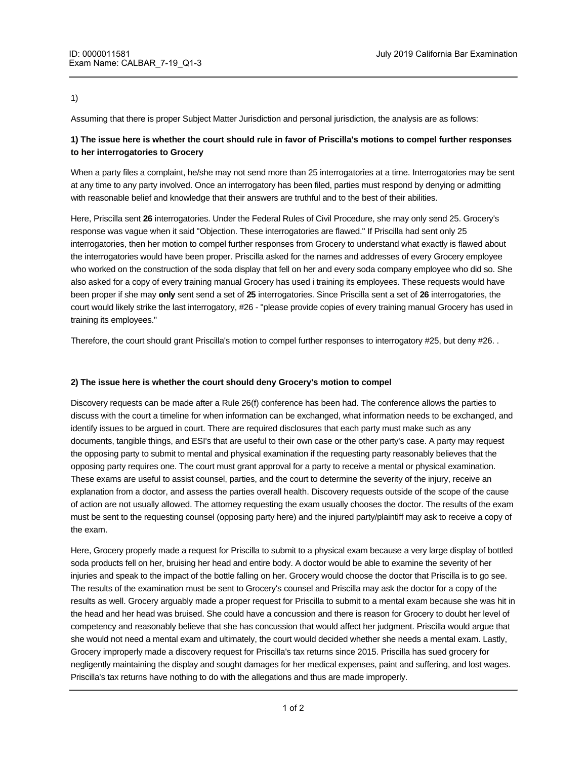### 1)

Assuming that there is proper Subject Matter Jurisdiction and personal jurisdiction, the analysis are as follows:

# **1) The issue here is whether the court should rule in favor of Priscilla's motions to compel further responses to her interrogatories to Grocery**

When a party files a complaint, he/she may not send more than 25 interrogatories at a time. Interrogatories may be sent at any time to any party involved. Once an interrogatory has been filed, parties must respond by denying or admitting with reasonable belief and knowledge that their answers are truthful and to the best of their abilities.

Here, Priscilla sent **26** interrogatories. Under the Federal Rules of Civil Procedure, she may only send 25. Grocery's response was vague when it said "Objection. These interrogatories are flawed." If Priscilla had sent only 25 interrogatories, then her motion to compel further responses from Grocery to understand what exactly is flawed about the interrogatories would have been proper. Priscilla asked for the names and addresses of every Grocery employee who worked on the construction of the soda display that fell on her and every soda company employee who did so. She also asked for a copy of every training manual Grocery has used i training its employees. These requests would have been proper if she may **only** sent send a set of **25** interrogatories. Since Priscilla sent a set of **26** interrogatories, the court would likely strike the last interrogatory, #26 - "please provide copies of every training manual Grocery has used in training its employees."

Therefore, the court should grant Priscilla's motion to compel further responses to interrogatory #25, but deny #26. .

#### **2) The issue here is whether the court should deny Grocery's motion to compel**

Discovery requests can be made after a Rule 26(f) conference has been had. The conference allows the parties to discuss with the court a timeline for when information can be exchanged, what information needs to be exchanged, and identify issues to be argued in court. There are required disclosures that each party must make such as any documents, tangible things, and ESI's that are useful to their own case or the other party's case. A party may request the opposing party to submit to mental and physical examination if the requesting party reasonably believes that the opposing party requires one. The court must grant approval for a party to receive a mental or physical examination. These exams are useful to assist counsel, parties, and the court to determine the severity of the injury, receive an explanation from a doctor, and assess the parties overall health. Discovery requests outside of the scope of the cause of action are not usually allowed. The attorney requesting the exam usually chooses the doctor. The results of the exam must be sent to the requesting counsel (opposing party here) and the injured party/plaintiff may ask to receive a copy of the exam.

Here, Grocery properly made a request for Priscilla to submit to a physical exam because a very large display of bottled soda products fell on her, bruising her head and entire body. A doctor would be able to examine the severity of her injuries and speak to the impact of the bottle falling on her. Grocery would choose the doctor that Priscilla is to go see. The results of the examination must be sent to Grocery's counsel and Priscilla may ask the doctor for a copy of the results as well. Grocery arguably made a proper request for Priscilla to submit to a mental exam because she was hit in the head and her head was bruised. She could have a concussion and there is reason for Grocery to doubt her level of competency and reasonably believe that she has concussion that would affect her judgment. Priscilla would argue that she would not need a mental exam and ultimately, the court would decided whether she needs a mental exam. Lastly, Grocery improperly made a discovery request for Priscilla's tax returns since 2015. Priscilla has sued grocery for negligently maintaining the display and sought damages for her medical expenses, paint and suffering, and lost wages. Priscilla's tax returns have nothing to do with the allegations and thus are made improperly.